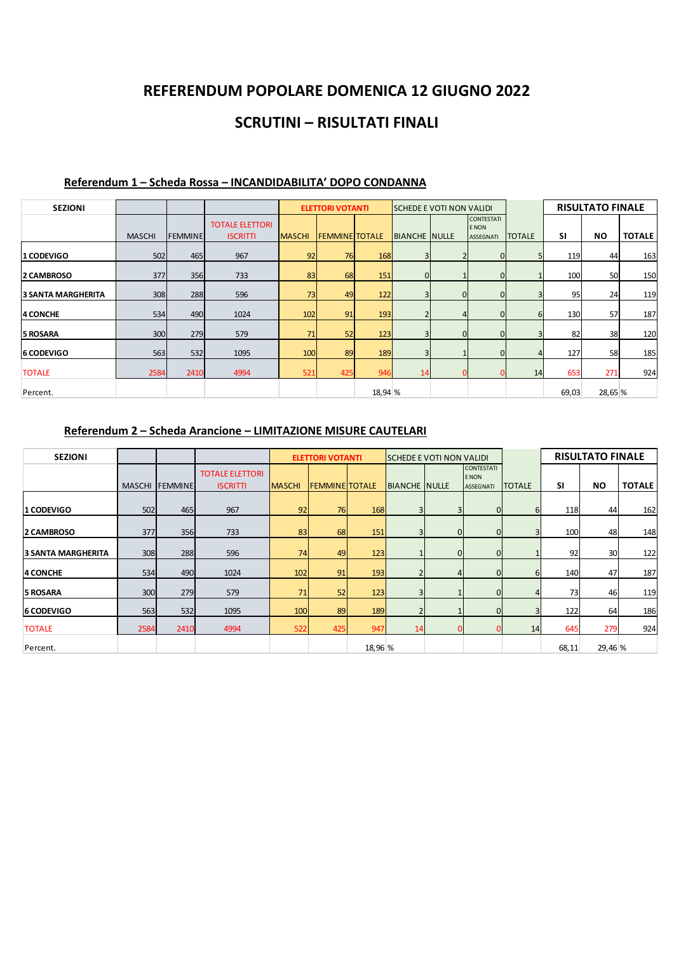# REFERENDUM POPOLARE DOMENICA 12 GIUGNO 2022

## SCRUTINI – RISULTATI FINALI

| Referendum 1 - Scheda Rossa - INCANDIDABILITA' DOPO CONDANNA |  |
|--------------------------------------------------------------|--|
|                                                              |  |

|                                 |                                                                |                | REFERENDUM POPOLARE DOMENICA 12 GIUGNO 2022 |                                     |                         |            |                                 |   |                                                |               |            |                         |               |  |  |
|---------------------------------|----------------------------------------------------------------|----------------|---------------------------------------------|-------------------------------------|-------------------------|------------|---------------------------------|---|------------------------------------------------|---------------|------------|-------------------------|---------------|--|--|
|                                 |                                                                |                |                                             | <b>SCRUTINI - RISULTATI FINALI</b>  |                         |            |                                 |   |                                                |               |            |                         |               |  |  |
|                                 |                                                                |                |                                             |                                     |                         |            |                                 |   |                                                |               |            |                         |               |  |  |
|                                 | Referendum 1 - Scheda Rossa - INCANDIDABILITA' DOPO CONDANNA   |                |                                             |                                     |                         |            |                                 |   |                                                |               |            |                         |               |  |  |
|                                 |                                                                |                |                                             |                                     |                         |            |                                 |   |                                                |               |            | <b>RISULTATO FINALE</b> |               |  |  |
| <b>SEZIONI</b>                  |                                                                |                | <b>TOTALE ELETTORI</b>                      |                                     | <b>ELETTORI VOTANTI</b> |            | <b>SCHEDE E VOTI NON VALIDI</b> |   | <b>CONTESTATI</b><br>E NON                     |               |            |                         |               |  |  |
|                                 | <b>MASCHI</b>                                                  | <b>FEMMINE</b> | <b>ISCRITTI</b>                             | <b>MASCHI</b>                       | <b>FEMMINE TOTALE</b>   |            | <b>BIANCHE</b> NULLE            |   | ASSEGNATI                                      | <b>TOTALE</b> | <b>SI</b>  | <b>NO</b>               | <b>TOTALE</b> |  |  |
| <b>1 CODEVIGO</b><br>2 CAMBROSO | 377                                                            | 502<br>356     | 465<br>967<br>733                           | 92<br>83                            | 76<br>68                | 168<br>151 |                                 |   |                                                |               | 119<br>100 | 44<br>50                | 163<br>150    |  |  |
| <b>3 SANTA MARGHERITA</b>       |                                                                | 308            | 596<br>288                                  | 73                                  | 49                      | 122        |                                 |   | $\Omega$                                       |               | 95         | 24                      | 119           |  |  |
| <b>4 CONCHE</b>                 | 534                                                            | 490            | 1024                                        | 102                                 | 91                      | 193        |                                 |   | $\Omega$                                       |               | 130        | 57                      | 187           |  |  |
| 5 ROSARA                        |                                                                | 300<br>279     | 579                                         | 71                                  | 52                      | 123        |                                 |   | $\Omega$                                       |               | 82         | 38                      | 120           |  |  |
| <b>6 CODEVIGO</b>               | 563                                                            | 532            | 1095                                        | 100                                 | 89                      | 189        |                                 |   | $\Omega$                                       |               | 127        | 58                      | 185           |  |  |
| <b>TOTALE</b>                   | 2584                                                           | 2410           | 4994                                        | 521                                 | 425                     | 946        | 14                              |   |                                                | 14            | 653        | 271                     | 924           |  |  |
| Percent.                        |                                                                |                |                                             |                                     |                         | 18,94 %    |                                 |   |                                                |               | 69,03      | 28,65 %                 |               |  |  |
|                                 | Referendum 2 - Scheda Arancione - LIMITAZIONE MISURE CAUTELARI |                |                                             |                                     |                         |            |                                 |   |                                                |               |            |                         |               |  |  |
| SEZIONI                         |                                                                |                |                                             |                                     | <b>ELETTORI VOTANTI</b> |            | SCHEDE E VOTI NON VALIDI        |   |                                                |               |            | <b>RISULTATO FINALE</b> |               |  |  |
|                                 | MASCHI FEMMINE                                                 |                | <b>TOTALE ELETTORI</b><br><b>ISCRITTI</b>   | MASCHI FEMMINE TOTALE BIANCHE NULLE |                         |            |                                 |   | <b>CONTESTATI</b><br>E NON<br><b>ASSEGNATI</b> | <b>TOTALE</b> | <b>SI</b>  | <b>NO</b>               | <b>TOTALE</b> |  |  |
| 1 CODEVIGO                      | 502                                                            | 465            | 967                                         | 92                                  | 76                      | 168        | 3                               | 3 |                                                | 6             | 118        | 44                      | 162           |  |  |
| 2 CAMBROSO                      | 377                                                            | 356            | 733                                         | 83                                  | 68                      | 151        |                                 |   |                                                |               | 100        | 48                      | 148           |  |  |
| <b>3 SANTA MARGHERITA</b>       | 308                                                            | 288            | 596                                         | 74                                  | 49                      | 123        |                                 |   |                                                |               | 92         | 30                      | 122           |  |  |
| 4 CONCHE                        | 534                                                            | 490            | 1024                                        | 102                                 | 91                      | 193        |                                 |   |                                                |               | 140        | 47                      | 187           |  |  |
| <b><i><u>SROSARA</u></i></b>    | 300                                                            | 279            | 579                                         | 71                                  | 52                      | 123        |                                 |   |                                                |               |            |                         |               |  |  |

#### Referendum 2 – Scheda Arancione – LIMITAZIONE MISURE CAUTELARI

| 1 CODEVIGO                |                | 502<br>465 | 967                                                            | 92            |                         | 76<br>168 |                                 | $\Omega$                 | 5             | 119       | 44                      | 163           |
|---------------------------|----------------|------------|----------------------------------------------------------------|---------------|-------------------------|-----------|---------------------------------|--------------------------|---------------|-----------|-------------------------|---------------|
| 2 CAMBROSO                |                | 377<br>356 | 733                                                            | 83            |                         | 68<br>151 |                                 | $\Omega$                 |               | 100       | 50                      | 150           |
| <b>3 SANTA MARGHERITA</b> |                | 308<br>288 | 596                                                            | 73            |                         | 122<br>49 |                                 | $\Omega$                 |               | 95        | 24                      | 119           |
| <b>4 CONCHE</b>           |                | 534<br>490 | 1024                                                           | 102           | 91                      | 193       |                                 | $\Omega$                 |               | 130       | 57                      | 187           |
| 5 ROSARA                  |                | 300<br>279 | 579                                                            | 71            | 52                      | 123       |                                 | $\Omega$                 |               | 82        | 38                      | 120           |
| 6 CODEVIGO                |                | 563<br>532 | 1095                                                           | 100           | 89                      | 189       |                                 | $\Omega$                 |               | 127       | 58                      | 185           |
| <b>TOTALE</b>             | 2584           | 2410       | 4994                                                           | 521           | 425                     | 946       | 14                              |                          | 14            | 653       | 271                     | 924           |
| Percent.                  |                |            |                                                                |               |                         | 18,94 %   |                                 |                          |               | 69,03     | 28,65 %                 |               |
| <b>SEZIONI</b>            |                |            | Referendum 2 - Scheda Arancione - LIMITAZIONE MISURE CAUTELARI |               | <b>ELETTORI VOTANTI</b> |           | <b>SCHEDE E VOTI NON VALIDI</b> | <b>CONTESTATI</b>        |               |           | <b>RISULTATO FINALE</b> |               |
|                           | MASCHI FEMMINE |            | <b>TOTALE ELETTORI</b><br><b>ISCRITTI</b>                      | <b>MASCHI</b> | <b>FEMMINE TOTALE</b>   |           | BIANCHE NULLE                   | <b>ENON</b><br>ASSEGNATI | <b>TOTALE</b> | <b>SI</b> | <b>NO</b>               | <b>TOTALE</b> |
| 1 CODEVIGO                | 502            | 465        | 967                                                            | 92            | 76                      | 168       |                                 |                          |               | 118       | 44                      | 162           |
| 2 CAMBROSO                | 377            | 356        | 733                                                            | 83            | 68                      | 151       |                                 |                          |               | 100       | 48                      | 148           |
| <b>3 SANTA MARGHERITA</b> | 308            | 288        | 596                                                            | 74            | 49                      | 123       |                                 |                          |               | 92        | 30                      | 122           |
| 4 CONCHE                  | 534            | 490        | 1024                                                           | 102           | 91                      | 193       |                                 |                          |               | 140       | 47                      | 187           |
| 5 ROSARA                  | 300            | 279        | 579                                                            | 71            | 52                      | 123       |                                 |                          |               | 73        | 46                      | 119           |
| 6 CODEVIGO                | 563            | 532        | 1095                                                           | 100           | 89                      | 189       |                                 |                          |               | 122       | 64                      | 186           |
| <b>TOTALE</b>             | 2584           | 2410       | 4994                                                           | 522           | 425                     | 947       | -14                             |                          | 14            | 645       | 279                     | 924           |
| Percent.                  |                |            |                                                                |               |                         | 18,96 %   |                                 |                          |               | 68,11     | 29,46 %                 |               |
|                           |                |            |                                                                |               |                         |           |                                 |                          |               |           |                         |               |
|                           |                |            |                                                                |               |                         |           |                                 |                          |               |           |                         |               |
|                           |                |            |                                                                |               |                         |           |                                 |                          |               |           |                         |               |
|                           |                |            |                                                                |               |                         |           |                                 |                          |               |           |                         |               |